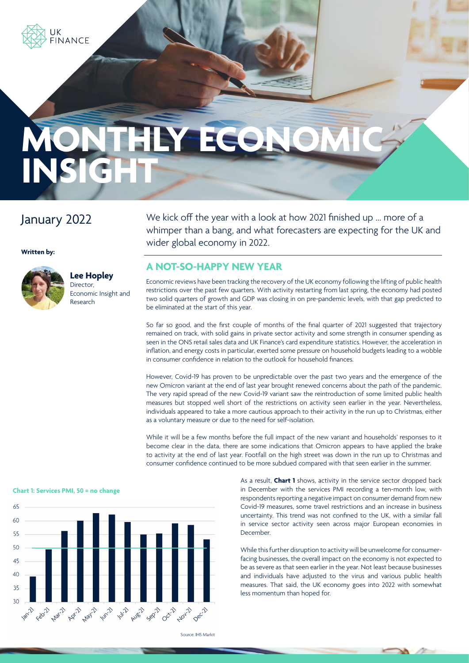

# **MONTHLY ECO** INSIG

## January 2022

**Written by:**



## **Lee Hopley** Director,

Economic Insight and Research

We kick off the year with a look at how 2021 finished up … more of a whimper than a bang, and what forecasters are expecting for the UK and wider global economy in 2022.

#### **A NOT-SO-HAPPY NEW YEAR**

Economic reviews have been tracking the recovery of the UK economy following the lifting of public health restrictions over the past few quarters. With activity restarting from last spring, the economy had posted two solid quarters of growth and GDP was closing in on pre-pandemic levels, with that gap predicted to be eliminated at the start of this year.

So far so good, and the first couple of months of the final quarter of 2021 suggested that trajectory remained on track, with solid gains in private sector activity and some strength in consumer spending as seen in the ONS retail sales data and UK Finance's card expenditure statistics. However, the acceleration in inflation, and energy costs in particular, exerted some pressure on household budgets leading to a wobble in consumer confidence in relation to the outlook for household finances.

However, Covid-19 has proven to be unpredictable over the past two years and the emergence of the new Omicron variant at the end of last year brought renewed concerns about the path of the pandemic. The very rapid spread of the new Covid-19 variant saw the reintroduction of some limited public health measures but stopped well short of the restrictions on activity seen earlier in the year. Nevertheless, individuals appeared to take a more cautious approach to their activity in the run up to Christmas, either as a voluntary measure or due to the need for self-isolation.

While it will be a few months before the full impact of the new variant and households' responses to it become clear in the data, there are some indications that Omicron appears to have applied the brake to activity at the end of last year. Footfall on the high street was down in the run up to Christmas and consumer confidence continued to be more subdued compared with that seen earlier in the summer.



As a result, **Chart 1** shows, activity in the service sector dropped back in December with the services PMI recording a ten-month low, with respondents reporting a negative impact on consumer demand from new Covid-19 measures, some travel restrictions and an increase in business uncertainty. This trend was not confined to the UK, with a similar fall in service sector activity seen across major European economies in December.

While this further disruption to activity will be unwelcome for consumerfacing businesses, the overall impact on the economy is not expected to be as severe as that seen earlier in the year. Not least because businesses and individuals have adjusted to the virus and various public health measures. That said, the UK economy goes into 2022 with somewhat less momentum than hoped for.

Source: IHS Markit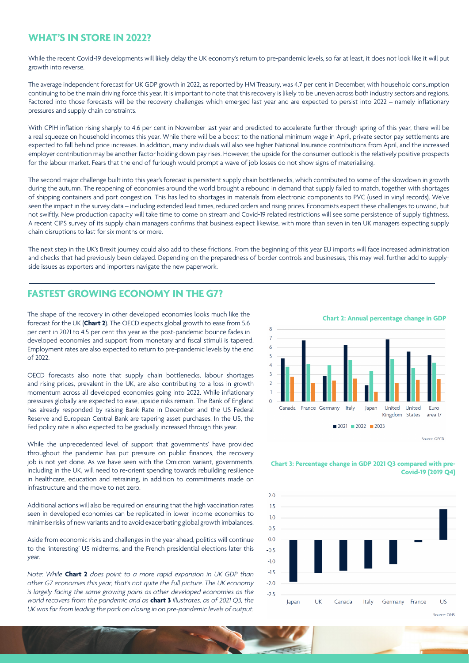#### **WHAT'S IN STORE IN 2022?**

While the recent Covid-19 developments will likely delay the UK economy's return to pre-pandemic levels, so far at least, it does not look like it will put growth into reverse.

The average independent forecast for UK GDP growth in 2022, as reported by HM Treasury, was 4.7 per cent in December, with household consumption continuing to be the main driving force this year. It is important to note that this recovery is likely to be uneven across both industry sectors and regions. Factored into those forecasts will be the recovery challenges which emerged last year and are expected to persist into 2022 – namely inflationary pressures and supply chain constraints.

With CPIH inflation rising sharply to 4.6 per cent in November last year and predicted to accelerate further through spring of this year, there will be a real squeeze on household incomes this year. While there will be a boost to the national minimum wage in April, private sector pay settlements are expected to fall behind price increases. In addition, many individuals will also see higher National Insurance contributions from April, and the increased employer contribution may be another factor holding down pay rises. However, the upside for the consumer outlook is the relatively positive prospects for the labour market. Fears that the end of furlough would prompt a wave of job losses do not show signs of materialising.

The second major challenge built into this year's forecast is persistent supply chain bottlenecks, which contributed to some of the slowdown in growth during the autumn. The reopening of economies around the world brought a rebound in demand that supply failed to match, together with shortages of shipping containers and port congestion. This has led to shortages in materials from electronic components to PVC (used in vinyl records). We've seen the impact in the survey data – including extended lead times, reduced orders and rising prices. Economists expect these challenges to unwind, but not swiftly. New production capacity will take time to come on stream and Covid-19 related restrictions will see some persistence of supply tightness. A recent CIPS survey of its supply chain managers confirms that business expect likewise, with more than seven in ten UK managers expecting supply chain disruptions to last for six months or more.

The next step in the UK's Brexit journey could also add to these frictions. From the beginning of this year EU imports will face increased administration and checks that had previously been delayed. Depending on the preparedness of border controls and businesses, this may well further add to supplyside issues as exporters and importers navigate the new paperwork.

#### **FASTEST GROWING ECONOMY IN THE G7?**

The shape of the recovery in other developed economies looks much like the forecast for the UK (**Chart 2**). The OECD expects global growth to ease from 5.6 per cent in 2021 to 4.5 per cent this year as the post-pandemic bounce fades in developed economies and support from monetary and fiscal stimuli is tapered. Employment rates are also expected to return to pre-pandemic levels by the end of 2022.

OECD forecasts also note that supply chain bottlenecks, labour shortages and rising prices, prevalent in the UK, are also contributing to a loss in growth momentum across all developed economies going into 2022. While inflationary pressures globally are expected to ease, upside risks remain. The Bank of England has already responded by raising Bank Rate in December and the US Federal Reserve and European Central Bank are tapering asset purchases. In the US, the Fed policy rate is also expected to be gradually increased through this year.

While the unprecedented level of support that governments' have provided throughout the pandemic has put pressure on public finances, the recovery job is not yet done. As we have seen with the Omicron variant, governments, including in the UK, will need to re-orient spending towards rebuilding resilience in healthcare, education and retraining, in addition to commitments made on infrastructure and the move to net zero.

Additional actions will also be required on ensuring that the high vaccination rates seen in developed economies can be replicated in lower income economies to minimise risks of new variants and to avoid exacerbating global growth imbalances.

Aside from economic risks and challenges in the year ahead, politics will continue to the 'interesting' US midterms, and the French presidential elections later this year.

*Note: While* **Chart 2** *does point to a more rapid expansion in UK GDP than other G7 economies this year, that's not quite the full picture. The UK economy is largely facing the same growing pains as other developed economies as the world recovers from the pandemic and as* **chart 3** *illustrates, as of 2021 Q3, the UK was far from leading the pack on closing in on pre-pandemic levels of output.*





#### **Chart 3: Percentage change in GDP 2021 Q3 compared with pre-Covid-19 (2019 Q4)**



Source: ONS

Source: OECD